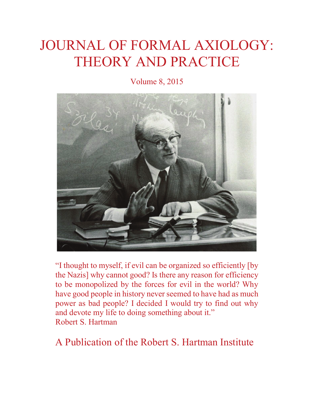# JOURNAL OF FORMAL AXIOLOGY: THEORY AND PRACTICE

Volume 8, 2015



"I thought to myself, if evil can be organized so efficiently [by the Nazis] why cannot good? Is there any reason for efficiency to be monopolized by the forces for evil in the world? Why have good people in history never seemed to have had as much power as bad people? I decided I would try to find out why and devote my life to doing something about it." Robert S. Hartman

A Publication of the Robert S. Hartman Institute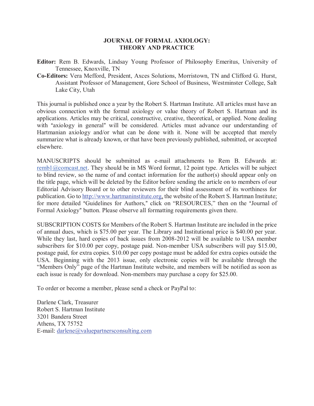#### **JOURNAL OF FORMAL AXIOLOGY: THEORY AND PRACTICE**

- **Editor:** Rem B. Edwards, Lindsay Young Professor of Philosophy Emeritus, University of Tennessee, Knoxville, TN
- **Co-Editors:** Vera Mefford, President, Axces Solutions, Morristown, TN and Clifford G. Hurst, Assistant Professor of Management, Gore School of Business, Westminster College, Salt Lake City, Utah

This journal is published once a year by the Robert S. Hartman Institute. All articles must have an obvious connection with the formal axiology or value theory of Robert S. Hartman and its applications. Articles may be critical, constructive, creative, theoretical, or applied. None dealing with "axiology in general" will be considered. Articles must advance our understanding of Hartmanian axiology and/or what can be done with it. None will be accepted that merely summarize what is already known, or that have been previously published, submitted, or accepted elsewhere.

MANUSCRIPTS should be submitted as e-mail attachments to Rem B. Edwards at: remb1@comcast.net. They should be in MS Word format, 12 point type. Articles will be subject to blind review, so the name of and contact information for the author(s) should appear only on the title page, which will be deleted by the Editor before sending the article on to members of our Editorial Advisory Board or to other reviewers for their blind assessment of its worthiness for publication. Go to http://www.hartmaninstitute.org, the website of the Robert S. Hartman Institute; for more detailed "Guidelines for Authors," click on "RESOURCES," then on the "Journal of Formal Axiology" button. Please observe all formatting requirements given there.

SUBSCRIPTION COSTS for Members of the Robert S. Hartman Institute are included in the price of annual dues, which is \$75.00 per year. The Library and Institutional price is \$40.00 per year. While they last, hard copies of back issues from 2008-2012 will be available to USA member subscribers for \$10.00 per copy, postage paid. Non-member USA subscribers will pay \$15.00, postage paid, for extra copies. \$10.00 per copy postage must be added for extra copies outside the USA. Beginning with the 2013 issue, only electronic copies will be available through the "Members Only" page of the Hartman Institute website, and members will be notified as soon as each issue is ready for download. Non-members may purchase a copy for \$25.00.

To order or become a member, please send a check or PayPal to:

Darlene Clark, Treasurer Robert S. Hartman Institute 3201 Bandera Street Athens, TX 75752 E-mail: darlene@valuepartnersconsulting.com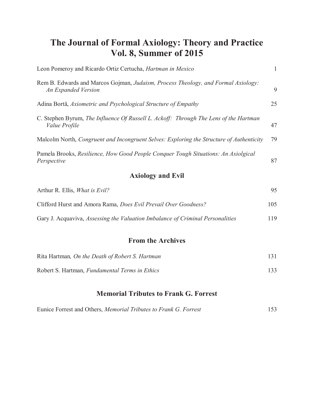### **The Journal of Formal Axiology: Theory and Practice Vol. 8, Summer of 2015**

| Leon Pomeroy and Ricardo Ortiz Certucha, <i>Hartman in Mexico</i>                                             | 1  |
|---------------------------------------------------------------------------------------------------------------|----|
| Rem B. Edwards and Marcos Gojman, Judaism, Process Theology, and Formal Axiology:<br>An Expanded Version      | 9  |
| Adina Bortă, Axiometric and Psychological Structure of Empathy                                                | 25 |
| C. Stephen Byrum, The Influence Of Russell L. Ackoff: Through The Lens of the Hartman<br><i>Value Profile</i> | 47 |
| Malcolm North, Congruent and Incongruent Selves: Exploring the Structure of Authenticity                      | 79 |
| Pamela Brooks, Resilience, How Good People Conquer Tough Situations: An Axiolgical<br>Perspective             | 87 |
| <b>Axiology and Evil</b>                                                                                      |    |

# Arthur R. Ellis, *What is Evil?* 95 Clifford Hurst and Amora Rama, *Does Evil Prevail Over Goodness?* 105 Gary J. Acquaviva, *Assessing the Valuation Imbalance of Criminal Personalities* 119

### **From the Archives**

| Rita Hartman, On the Death of Robert S. Hartman |     |
|-------------------------------------------------|-----|
| Robert S. Hartman, Fundamental Terms in Ethics  | 133 |

### **Memorial Tributes to Frank G. Forrest**

| Eunice Forrest and Others, Memorial Tributes to Frank G. Forrest | 153 |
|------------------------------------------------------------------|-----|
|------------------------------------------------------------------|-----|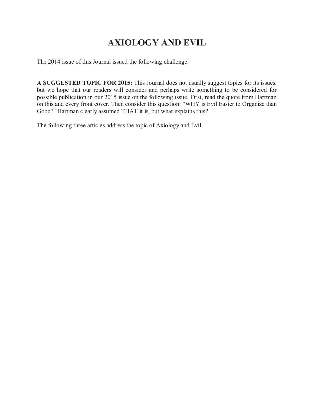## **AXIOLOGY AND EVIL**

The 2014 issue of this Journal issued the following challenge:

**A SUGGESTED TOPIC FOR 2015:** This Journal does not usually suggest topics for its issues, but we hope that our readers will consider and perhaps write something to be considered for possible publication in our 2015 issue on the following issue. First, read the quote from Hartman on this and every front cover. Then consider this question: "WHY is Evil Easier to Organize than Good?" Hartman clearly assumed THAT it is, but what explains this?

The following three articles address the topic of Axiology and Evil.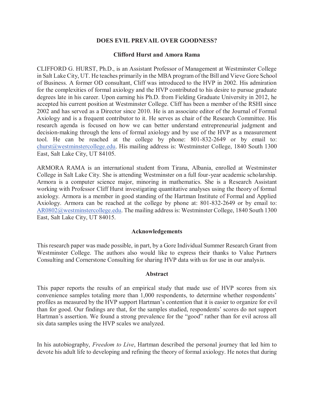#### **DOES EVIL PREVAIL OVER GOODNESS?**

#### **Clifford Hurst and Amora Rama**

CLIFFORD G. HURST, Ph.D., is an Assistant Professor of Management at Westminster College in Salt Lake City, UT. He teaches primarily in the MBA program of the Bill and Vieve Gore School of Business. A former OD consultant, Cliff was introduced to the HVP in 2002. His admiration for the complexities of formal axiology and the HVP contributed to his desire to pursue graduate degrees late in his career. Upon earning his Ph.D. from Fielding Graduate University in 2012, he accepted his current position at Westminster College. Cliff has been a member of the RSHI since 2002 and has served as a Director since 2010. He is an associate editor of the Journal of Formal Axiology and is a frequent contributor to it. He serves as chair of the Research Committee. His research agenda is focused on how we can better understand entrepreneurial judgment and decision-making through the lens of formal axiology and by use of the HVP as a measurement tool. He can be reached at the college by phone: 801-832-2649 or by email to: churst@westminstercollege.edu. His mailing address is: Westminster College, 1840 South 1300 East, Salt Lake City, UT 84105.

ARMORA RAMA is an international student from Tirana, Albania, enrolled at Westminster College in Salt Lake City. She is attending Westminster on a full four-year academic scholarship. Armora is a computer science major, minoring in mathematics. She is a Research Assistant working with Professor Cliff Hurst investigating quantitative analyses using the theory of formal axiology. Armora is a member in good standing of the Hartman Institute of Formal and Applied Axiology. Armora can be reached at the college by phone at: 801-832-2649 or by email to: AR0802@westminstercollege.edu. The mailing address is: Westminster College, 1840 South 1300 East, Salt Lake City, UT 84015.

#### **Acknowledgements**

This research paper was made possible, in part, by a Gore Individual Summer Research Grant from Westminster College. The authors also would like to express their thanks to Value Partners Consulting and Cornerstone Consulting for sharing HVP data with us for use in our analysis.

#### **Abstract**

This paper reports the results of an empirical study that made use of HVP scores from six convenience samples totaling more than 1,000 respondents, to determine whether respondents' profiles as measured by the HVP support Hartman's contention that it is easier to organize for evil than for good. Our findings are that, for the samples studied, respondents' scores do not support Hartman's assertion. We found a strong prevalence for the "good" rather than for evil across all six data samples using the HVP scales we analyzed.

In his autobiography, *Freedom to Live*, Hartman described the personal journey that led him to devote his adult life to developing and refining the theory of formal axiology. He notes that during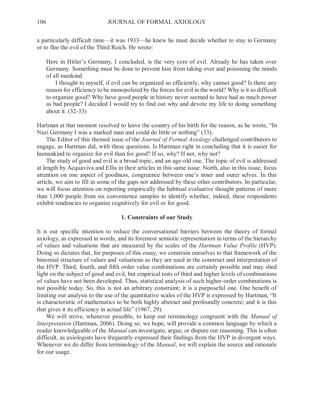a particularly difficult time—it was 1933—he knew he must decide whether to stay in Germany or to flee the evil of the Third Reich. He wrote:

Here in Hitler's Germany, I concluded, is the very core of evil. Already he has taken over Germany. Something must be done to prevent him from taking over and poisoning the minds of all mankind.

 I thought to myself, if evil can be organized so efficiently, why cannot good? Is there any reason for efficiency to be monopolized by the forces for evil in the world? Why is it so difficult to organize good? Why have good people in history never seemed to have had as much power as bad people? I decided I would try to find out why and devote my life to doing something about it. (32-33)

Hartman at that moment resolved to leave the country of his birth for the reason, as he wrote, "In Nazi Germany I was a marked man and could do little or nothing" (33).

 The Editor of this themed issue of the *Journal of Formal Axiology* challenged contributors to engage, as Hartman did, with these questions. Is Hartman right in concluding that it is easier for humankind to organize for evil than for good? If so, why? If not, why not?

 The study of good and evil is a broad topic, and an age-old one. The topic of evil is addressed at length by Acquaviva and Ellis in their articles in this same issue. North, also in this issue, focus attention on one aspect of goodness, congruence between one's inner and outer selves. In this article, we aim to fill in some of the gaps not addressed by these other contributors. In particular, we will focus attention on reporting empirically the habitual evaluative thought patterns of more than 1,000 people from six convenience samples to identify whether, indeed, these respondents exhibit tendencies to organize cognitively for evil or for good.

#### **1. Constraints of our Study**

It is our specific intention to reduce the conversational barriers between the theory of formal axiology, as expressed in words, and its foremost semiotic representation in terms of the hierarchy of values and valuations that are measured by the scales of the *Hartman Value Profile* (HVP). Doing so dictates that, for purposes of this essay, we constrain ourselves to that framework of the binomial structure of values and valuations as they are used in the construct and interpretation of the HVP. Third, fourth, and fifth order value combinations are certainly possible and may shed light on the subject of good and evil, but empirical tests of third and higher levels of combinations of values have not been developed. Thus, statistical analysis of such higher-order combinations is not possible today. So, this is not an arbitrary constraint; it is a purposeful one. One benefit of limiting our analysis to the use of the quantitative scales of the HVP is expressed by Hartman, "It is characteristic of mathematics to be both highly abstract and profoundly concrete; and it is this that gives it its efficiency in actual life" (1967, 29).

 We will strive, whenever possible, to keep our terminology congruent with the *Manual of Interpretation* (Hartman, 2006). Doing so, we hope, will provide a common language by which a reader knowledgeable of the *Manual* can investigate, argue, or dispute our reasoning. This is often difficult, as axiologists have frequently expressed their findings from the HVP in divergent ways. Whenever we do differ from terminology of the *Manual*, we will explain the source and rationale for our usage.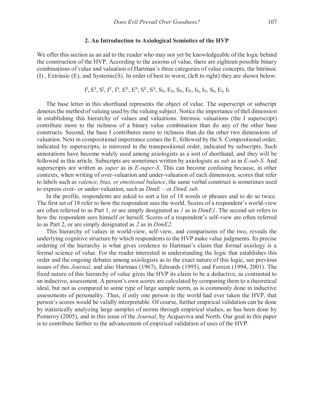#### **2. An Introduction to Axiological Semiotics of the HVP**

We offer this section as an aid to the reader who may not yet be knowledgeable of the logic behind the construction of the HVP. According to the axioms of value, there are eighteen possible binary combinations of value and valuation of Hartman's three categories of value concepts, the Intrinsic (I) , Extrinsic (E), and Systemic(S). In order of best to worst, (left to right) they are shown below:

 $\mathrm{I}^\mathrm{I}, \mathrm{E}^\mathrm{I}, \mathrm{S}^\mathrm{I}, \mathrm{I}^\mathrm{E}, \mathrm{I}^\mathrm{S}, \mathrm{E}^\mathrm{E}, \mathrm{E}^\mathrm{S}, \mathrm{S}^\mathrm{E}, \mathrm{S}^\mathrm{S}, \mathrm{S}_\mathrm{S}, \mathrm{E}_\mathrm{S}, \mathrm{S}_\mathrm{E}, \mathrm{E}_\mathrm{E}, \mathrm{I}_\mathrm{S}, \mathrm{I}_\mathrm{E}, \mathrm{S}_\mathrm{I}, \mathrm{E}_\mathrm{I}, \mathrm{I}_\mathrm{I}$ 

 The base letter in this shorthand represents the object of value. The superscript or subscript denotes the method of valuing used by the valuing subject. Notice the importance of theI dimension in establishing this hierarchy of values and valuations. Intrinsic valuations (the I superscript) contribute more to the richness of a binary value combination than do any of the other base constructs. Second, the base I contributes more to richness than do the other two dimensions of valuation. Next in compositional importance comes the E, followed by the S. Compositional order, indicated by superscripts, is mirrored in the transpositional order, indicated by subscripts. Such annotations have become widely used among axiologists as a sort of shorthand, and they will be followed in this article. Subscripts are sometimes written by axiologists as *sub* as in *E-sub-S*. And superscripts are written as *super* as in *E-super-S*. This can become confusing because, in other contexts, when writing of over-valuation and under-valuation of each dimension, scores that refer to labels such as *valence, bias, or emotional balance*, the same verbal construct is sometimes used to express over- or under-valuation, such as *DimE* – or *DimE sub*.

 In the profile, respondents are asked to sort a list of 18 words or phrases and to do so twice. The first set of 18 refer to how the respondent sees the world. Scores of a respondent's world-view are often referred to as Part 1, or are simply designated as *1* as in *DimE1*. The second set refers to how the respondent sees himself or herself. Scores of a respondent's self-view are often referred to as Part 2, or are simply designated as *2* as in *DimE2*.

 This hierarchy of values in world-view, self-view, and comparisons of the two, reveals the underlying cognitive structure by which respondents to the HVP make value judgments. Its precise ordering of the hierarchy is what gives credence to Hartman's claim that formal axiology is a formal science of value. For the reader interested in understanding the logic that establishes this order and the ongoing debates among axiologists as to the exact nature of this logic, see previous issues of this *Journal*, and also Hartman (1967), Edwards (1995), and Forrest (1994, 2001). The fixed nature of this hierarchy of value gives the HVP its claim to be a deductive, as contrasted to an inductive, assessment. A person's own scores are calculated by comparing them to a theoretical ideal, but not as compared to some type of large sample norm, as is commonly done in inductive assessments of personality. Thus, if only one person in the world had ever taken the HVP, that person's scores would be validly interpretable. Of course, further empirical validation can be done by statistically analyzing large samples of norms through empirical studies, as has been done by Pomeroy (2005), and in this issue of the *Journal*, by Acquaviva and North. Our goal in this paper is to contribute further to the advancement of empirical validation of uses of the HVP.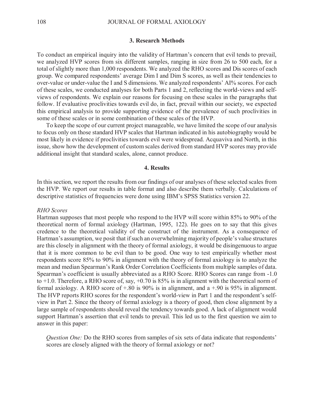#### **3. Research Methods**

To conduct an empirical inquiry into the validity of Hartman's concern that evil tends to prevail, we analyzed HVP scores from six different samples, ranging in size from 26 to 500 each, for a total of slightly more than 1,000 respondents. We analyzed the RHO scores and Dis scores of each group. We compared respondents' average Dim I and Dim S scores, as well as their tendencies to over-value or under-value the I and S dimensions. We analyzed respondents' AI% scores. For each of these scales, we conducted analyses for both Parts 1 and 2, reflecting the world-views and selfviews of respondents. We explain our reasons for focusing on these scales in the paragraphs that follow. If evaluative proclivities towards evil do, in fact, prevail within our society, we expected this empirical analysis to provide supporting evidence of the prevalence of such proclivities in some of these scales or in some combination of these scales of the HVP.

 To keep the scope of our current project manageable, we have limited the scope of our analysis to focus only on those standard HVP scales that Hartman indicated in his autobiography would be most likely in evidence if proclivities towards evil were widespread. Acquaviva and North, in this issue, show how the development of custom scales derived from standard HVP scores may provide additional insight that standard scales, alone, cannot produce.

#### **4. Results**

In this section, we report the results from our findings of our analyses of these selected scales from the HVP. We report our results in table format and also describe them verbally. Calculations of descriptive statistics of frequencies were done using IBM's SPSS Statistics version 22.

#### *RHO Scores*

Hartman supposes that most people who respond to the HVP will score within 85% to 90% of the theoretical norm of formal axiology (Hartman, 1995, 122). He goes on to say that this gives credence to the theoretical validity of the construct of the instrument. As a consequence of Hartman's assumption, we posit that if such an overwhelming majority of people's value structures are this closely in alignment with the theory of formal axiology, it would be disingenuous to argue that it is more common to be evil than to be good. One way to test empirically whether most respondents score 85% to 90% in alignment with the theory of formal axiology is to analyze the mean and median Spearman's Rank Order Correlation Coefficients from multiple samples of data. Spearman's coefficient is usually abbreviated as a RHO Score. RHO Scores can range from -1.0 to +1.0. Therefore, a RHO score of, say, +0.70 is 85% is in alignment with the theoretical norm of formal axiology. A RHO score of  $+0.80$  is 90% is in alignment, and a  $+0.90$  is 95% in alignment. The HVP reports RHO scores for the respondent's world-view in Part 1 and the respondent's selfview in Part 2. Since the theory of formal axiology is a theory of good, then close alignment by a large sample of respondents should reveal the tendency towards good. A lack of alignment would support Hartman's assertion that evil tends to prevail. This led us to the first question we aim to answer in this paper:

*Question One:* Do the RHO scores from samples of six sets of data indicate that respondents' scores are closely aligned with the theory of formal axiology or not?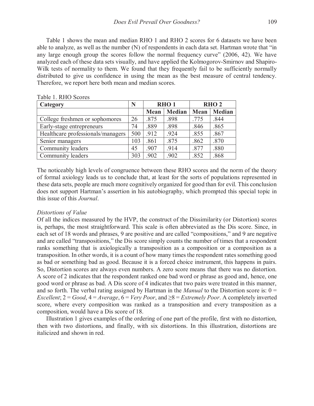Table 1 shows the mean and median RHO 1 and RHO 2 scores for 6 datasets we have been able to analyze, as well as the number (N) of respondents in each data set. Hartman wrote that "in any large enough group the scores follow the normal frequency curve" (2006, 42). We have analyzed each of these data sets visually, and have applied the Kolmogorov-Smirnov and Shapiro-Wilk tests of normality to them. We found that they frequently fail to be sufficiently normally distributed to give us confidence in using the mean as the best measure of central tendency. Therefore, we report here both mean and median scores.

| Category                          | N   |      | RHO <sub>1</sub> | RHO <sub>2</sub> |               |  |
|-----------------------------------|-----|------|------------------|------------------|---------------|--|
|                                   |     | Mean | <b>Median</b>    | Mean             | <b>Median</b> |  |
| College freshmen or sophomores    | 26  | .875 | .898             | .775             | .844          |  |
| Early-stage entrepreneurs         | 74  | .889 | .898             | .846             | .865          |  |
| Healthcare professionals/managers | 500 | .912 | .924             | .855             | .867          |  |
| Senior managers                   | 103 | .861 | .875             | .862             | .870          |  |
| Community leaders                 | 45  | .907 | .914             | .877             | .880          |  |
| Community leaders                 | 303 | .902 | .902             | .852             | .868          |  |

Table 1. RHO Scores

The noticeably high levels of congruence between these RHO scores and the norm of the theory of formal axiology leads us to conclude that, at least for the sorts of populations represented in these data sets, people are much more cognitively organized for good than for evil. This conclusion does not support Hartman's assertion in his autobiography, which prompted this special topic in this issue of this *Journal*.

#### *Distortions of Value*

Of all the indices measured by the HVP, the construct of the Dissimilarity (or Distortion) scores is, perhaps, the most straightforward. This scale is often abbreviated as the Dis score. Since, in each set of 18 words and phrases, 9 are positive and are called "compositions," and 9 are negative and are called "transpositions," the Dis score simply counts the number of times that a respondent ranks something that is axiologically a transposition as a composition or a composition as a transposition. In other words, it is a count of how many times the respondent rates something good as bad or something bad as good. Because it is a forced choice instrument, this happens in pairs. So, Distortion scores are always even numbers. A zero score means that there was no distortion. A score of 2 indicates that the respondent ranked one bad word or phrase as good and, hence, one good word or phrase as bad. A Dis score of 4 indicates that two pairs were treated in this manner, and so forth. The verbal rating assigned by Hartman in the *Manual* to the Distortion score is: 0 = *Excellent*;  $2 = Good$ ,  $4 = Average$ ,  $6 = Very Poor$ , and  $\geq 8 = Extremely Poor$ . A completely inverted score, where every composition was ranked as a transposition and every transposition as a composition, would have a Dis score of 18.

 Illustration 1 gives examples of the ordering of one part of the profile, first with no distortion, then with two distortions, and finally, with six distortions. In this illustration, distortions are italicized and shown in red.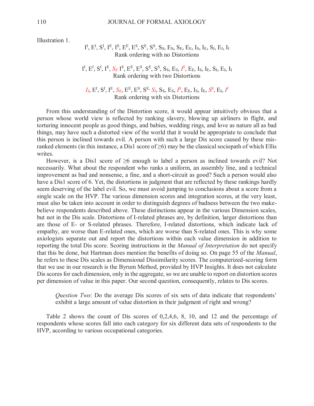Illustration 1.

#### $\mathrm{I}^\mathrm{I}, \mathrm{E}^\mathrm{I}, \mathrm{S}^\mathrm{I}, \mathrm{I}^\mathrm{E}, \mathrm{I}^\mathrm{S}, \mathrm{E}^\mathrm{E}, \mathrm{E}^\mathrm{S}, \mathrm{S}^\mathrm{E}, \mathrm{S}^\mathrm{S}, \mathrm{S}_\mathrm{S}, \mathrm{E}_\mathrm{S}, \mathrm{S}_\mathrm{E}, \mathrm{E}_\mathrm{E}, \mathrm{I}_\mathrm{S}, \mathrm{I}_\mathrm{E}, \mathrm{S}_\mathrm{I}, \mathrm{E}_\mathrm{I}, \mathrm{I}_\mathrm{I}$ Rank ordering with no Distortions

I<sup>I</sup>, E<sup>I</sup>, S<sup>I</sup>, I<sup>E</sup>, *S<sub>E</sub>* I<sup>S</sup>, E<sup>E</sup>, E<sup>S</sup>, S<sup>E</sup>, S<sup>S</sup>, S<sub>S</sub>, S<sub>S</sub>, E<sub>S</sub>, I<sup>S</sup>, E<sub>E</sub>, I<sub>S</sub>, I<sub>E</sub>, S<sub>I</sub>, E<sub>I</sub>, I<sub>I</sub> Rank ordering with two Distortions

 $I_I$ ,  $E^I$ ,  $S^I$ ,  $I^E$ ,  $S_E$ ,  $E^E$ ,  $E^S$ ,  $S^E$ ,  $S_I$ ,  $S_S$ ,  $E_S$ ,  $I^S$ ,  $E_E$ ,  $I_S$ ,  $I_E$ ,  $S^S$ ,  $E_I$ ,  $I^I$ Rank ordering with six Distortions

 From this understanding of the Distortion score, it would appear intuitively obvious that a person whose world view is reflected by ranking slavery, blowing up airliners in flight, and torturing innocent people as good things, and babies, wedding rings, and love as nature all as bad things, may have such a distorted view of the world that it would be appropriate to conclude that this person is inclined towards evil. A person with such a large Dis score caused by these misranked elements (in this instance, a Dis1 score of  $\geq$ 6) may be the classical sociopath of which Ellis writes.

However, is a Dis1 score of  $\geq 6$  enough to label a person as inclined towards evil? Not necessarily. What about the respondent who ranks a uniform, an assembly line, and a technical improvement as bad and nonsense, a fine, and a short-circuit as good? Such a person would also have a Dis1 score of 6. Yet, the distortions in judgment that are reflected by these rankings hardly seem deserving of the label evil. So, we must avoid jumping to conclusions about a score from a single scale on the HVP. The various dimension scores and integration scores, at the very least, must also be taken into account in order to distinguish degrees of badness between the two makebelieve respondents described above. These distinctions appear in the various Dimension scales, but not in the Dis scale. Distortions of I-related phrases are, by definition, larger distortions than are those of E- or S-related phrases. Therefore, I-related distortions, which indicate lack of empathy, are worse than E-related ones, which are worse than S-related ones. This is why some axiologists separate out and report the distortions within each value dimension in addition to reporting the total Dis score. Scoring instructions in the *Manual of Interpretation* do not specify that this be done, but Hartman does mention the benefits of doing so. On page 55 of the *Manual*, he refers to these Dis scales as Dimensional Dissimilarity scores. The computerized-scoring form that we use in our research is the Byrum Method, provided by HVP Insights. It does not calculate Dis scores for each dimension, only in the aggregate, so we are unable to report on distortion scores per dimension of value in this paper. Our second question, consequently, relates to Dis scores.

*Question Two*: Do the average Dis scores of six sets of data indicate that respondents' exhibit a large amount of value distortion in their judgment of right and wrong?

 Table 2 shows the count of Dis scores of 0,2,4,6, 8, 10, and 12 and the percentage of respondents whose scores fall into each category for six different data sets of respondents to the HVP, according to various occupational categories.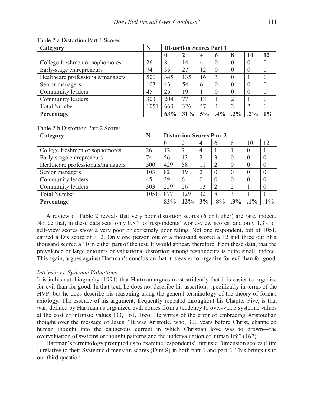| Category                          | N    | <b>Distortion Scores Part 1</b> |     |    |              |          |           |    |
|-----------------------------------|------|---------------------------------|-----|----|--------------|----------|-----------|----|
|                                   |      |                                 |     | 4  | <sup>6</sup> | 8        | 10        | 12 |
| College freshmen or sophomores    | 26   | 8                               | 14  |    |              |          |           |    |
| Early-stage entrepreneurs         | 74   | 35                              | 27  | 12 | $\theta$     |          | ()        |    |
| Healthcare professionals/managers | 500  | 345                             | 135 | 16 | 3            | 0        |           |    |
| Senior managers                   | 103  | 43                              | 54  | 6  | $\theta$     | $\Omega$ | $\bigcap$ |    |
| Community leaders                 | 45   | 25                              | 19  |    |              |          |           |    |
| Community leaders                 | 303  | 204                             | 77  | 18 |              |          |           |    |
| <b>Total Number</b>               | 1051 | 660                             | 326 | 57 | 4            | ∍        | 2         |    |
| Percentage                        |      | 63%                             | 31% | 5% | .4%          | $.2\%$   | $.2\%$    | 0% |

Table 2.a Distortion Part 1 Scores

Table 2.b Distortion Part 2 Scores

| Category                          | N    | <b>Distortion Scores Part 2</b> |     |                             |        |        |        |        |
|-----------------------------------|------|---------------------------------|-----|-----------------------------|--------|--------|--------|--------|
|                                   |      | O                               |     | 4                           | h      | 8      | 10     | 12     |
| College freshmen or sophomores    | 26   | 12                              |     |                             |        |        |        |        |
| Early-stage entrepreneurs         | 74   | 56                              | 13  | 2                           |        |        | 0      |        |
| Healthcare professionals/managers | 500  | 429                             | 58  | 11                          | ∍      |        |        |        |
| Senior managers                   | 103  | 82                              | 19  | $\mathcal{D}_{\mathcal{A}}$ |        |        |        |        |
| Community leaders                 | 45   | 39                              | 6   | $\left( \right)$            |        |        |        |        |
| Community leaders                 | 303  | 259                             | 26  | 13                          | 2      |        |        |        |
| <b>Total Number</b>               | 1051 | 877                             | 129 | 32                          | 8      |        |        |        |
| Percentage                        |      | 83%                             | 12% | 3%                          | $.8\%$ | $.3\%$ | $.1\%$ | $.1\%$ |

 A review of Table 2 reveals that very poor distortion scores (6 or higher) are rare, indeed. Notice that, in these data sets, only 0.8% of respondents' world-view scores, and only 1.3% of self-view scores show a very poor or extremely poor rating. Not one respondent, out of 1051, earned a Dis score of >12. Only one person out of a thousand scored a 12 and three out of a thousand scored a 10 in either part of the test. It would appear, therefore, from these data, that the prevalence of large amounts of valuational distortion among respondents is quite small, indeed. This again, argues against Hartman's conclusion that it is easier to organize for evil than for good.

#### *Intrinsic vs. Systemic Valuations*

It is in his autobiography (1994) that Hartman argues most stridently that it is easier to organize for evil than for good. In that text, he does not describe his assertions specifically in terms of the HVP, but he does describe his reasoning using the general terminology of the theory of formal axiology. The essence of his argument, frequently repeated throughout his Chapter Five, is that war, defined by Hartman as organized evil, comes from a tendency to over-value systemic values at the cost of intrinsic values (33, 161, 165). He writes of the error of embracing Aristotelian thought over the message of Jesus. "It was Aristotle, who, 300 years before Christ, channeled human thought into the dangerous current in which Christian love was to drown—the overvaluation of systems or thought patterns and the undervaluation of human life" (167).

Hartman's terminology prompted us to examine respondents' Intrinsic Dimension scores (Dim I) relative to their Systemic dimension scores (Dim S) in both part 1 and part 2. This brings us to our third question.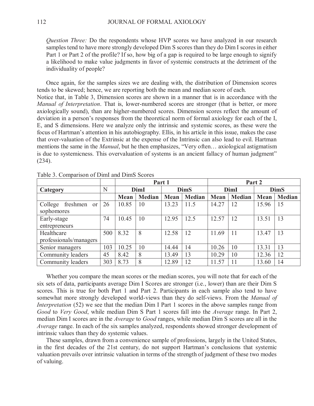*Question Three:* Do the respondents whose HVP scores we have analyzed in our research samples tend to have more strongly developed Dim S scores than they do Dim I scores in either Part 1 or Part 2 of the profile? If so, how big of a gap is required to be large enough to signify a likelihood to make value judgments in favor of systemic constructs at the detriment of the individuality of people?

 Once again, for the samples sizes we are dealing with, the distribution of Dimension scores tends to be skewed; hence, we are reporting both the mean and median score of each. Notice that, in Table 3, Dimension scores are shown in a manner that is in accordance with the *Manual of Interpretation*. That is, lower-numbered scores are stronger (that is better, or more axiologically sound), than are higher-numbered scores. Dimension scores reflect the amount of deviation in a person's responses from the theoretical norm of formal axiology for each of the I, E, and S dimensions. Here we analyze only the intrinsic and systemic scores, as these were the focus of Hartman's attention in his autobiography. Ellis, in his article in this issue, makes the case that over-valuation of the Extrinsic at the expense of the Intrinsic can also lead to evil. Hartman mentions the same in the *Manual*, but he then emphasizes, "Very often… axiological astigmatism is due to systemicness. This overvaluation of systems is an ancient fallacy of human judgment" (234).

|                                      |     |             |               | Part 1      |               |             |               | Part 2      |        |
|--------------------------------------|-----|-------------|---------------|-------------|---------------|-------------|---------------|-------------|--------|
| Category                             | N   | <b>DimI</b> |               |             | <b>DimS</b>   |             | <b>DimI</b>   | <b>DimS</b> |        |
|                                      |     | Mean        | <b>Median</b> | <b>Mean</b> | <b>Median</b> | <b>Mean</b> | <b>Median</b> | Mean        | Median |
| College<br>freshmen<br><sub>or</sub> | 26  | 10.85       | 10            | 13.23       | 11.5          | 14.27       | 12            | 15.96       | 15     |
| sophomores                           |     |             |               |             |               |             |               |             |        |
| Early-stage                          | 74  | 10.45       | 10            | 12.95       | 12.5          | 12.57       | 12            | 13.51       | 13     |
| entrepreneurs                        |     |             |               |             |               |             |               |             |        |
| Healthcare                           | 500 | 8.32        | 8             | 12.58       | 12            | 11.69       | 11            | 13.47       | 13     |
| professionals/managers               |     |             |               |             |               |             |               |             |        |
| Senior managers                      | 103 | 10.25       | 10            | 14.44       | 14            | 10.26       | 10            | 13.31       | 13     |
| Community leaders                    | 45  | 8.42        | 8             | 13.49       | 13            | 10.29       | 10            | 12.36       | 12     |
| Community leaders                    | 303 | 8.73        | 8             | 12.89       | 12            | 11.57       | 11            | 13.60       | 14     |

Table 3. Comparison of DimI and DimS Scores

 Whether you compare the mean scores or the median scores, you will note that for each of the six sets of data, participants average Dim I Scores are stronger (i.e., lower) than are their Dim S scores. This is true for both Part 1 and Part 2. Participants in each sample also tend to have somewhat more strongly developed world-views than they do self-views. From the *Manual of Interpretation* (52) we see that the median Dim I Part 1 scores in the above samples range from *Good* to *Very Good*, while median Dim S Part 1 scores fall into the *Average* range. In Part 2, median Dim I scores are in the *Average* to *Good* ranges, while median Dim S scores are all in the *Average* range. In each of the six samples analyzed, respondents showed stronger development of intrinsic values than they do systemic values.

 These samples, drawn from a convenience sample of professions, largely in the United States, in the first decades of the 21st century, do not support Hartman's conclusions that systemic valuation prevails over intrinsic valuation in terms of the strength of judgment of these two modes of valuing.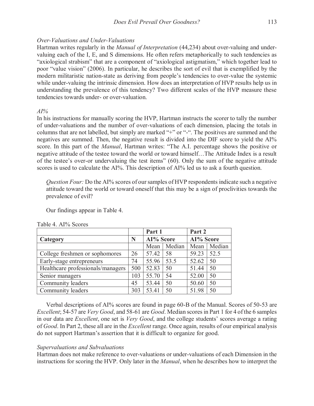#### *Over-Valuations and Under-Valuations*

Hartman writes regularly in the *Manual of Interpretation* (44,234) about over-valuing and undervaluing each of the I, E, and S dimensions. He often refers metaphorically to such tendencies as "axiological strabism" that are a component of "axiological astigmatism," which together lead to poor "value vision" (2006). In particular, he describes the sort of evil that is exemplified by the modern militaristic nation-state as deriving from people's tendencies to over-value the systemic while under-valuing the intrinsic dimension. How does an interpretation of HVP results help us in understanding the prevalence of this tendency? Two different scales of the HVP measure these tendencies towards under- or over-valuation.

#### *AI%*

In his instructions for manually scoring the HVP, Hartman instructs the scorer to tally the number of under-valuations and the number of over-valuations of each dimension, placing the totals in columns that are not labelled, but simply are marked "+" or "-". The positives are summed and the negatives are summed. Then, the negative result is divided into the DIF score to yield the AI% score. In this part of the *Manual*, Hartman writes: "The A.I. percentage shows the positive or negative attitude of the testee toward the world or toward himself…The Attitude Index is a result of the testee's over-or undervaluing the test items" (60). Only the sum of the negative attitude scores is used to calculate the AI%. This description of AI% led us to ask a fourth question.

*Question Four:* Do the AI% scores of our samples of HVP respondents indicate such a negative attitude toward the world or toward oneself that this may be a sign of proclivities towards the prevalence of evil?

Our findings appear in Table 4.

|                                   |     | Part 1    |        | Part 2    |        |
|-----------------------------------|-----|-----------|--------|-----------|--------|
| Category                          | N   | AI% Score |        | AI% Score |        |
|                                   |     | Mean      | Median | Mean      | Median |
| College freshmen or sophomores    | 26  | 57.42     | -58    | 59.23     | 52.5   |
| Early-stage entrepreneurs         | 74  | 55.96     | 53.5   | 52.62     | 50     |
| Healthcare professionals/managers | 500 | 52.83     | 50     | 51.44     | 50     |
| Senior managers                   | 103 | 55.70     | 54     | 52.00     | 50     |
| Community leaders                 | 45  | 53.44     | 50     | 50.60     | 50     |
| Community leaders                 | 303 | 53.41     | 50     | 51.98     | 50     |

Table 4. AI% Scores

 Verbal descriptions of AI% scores are found in page 60-B of the Manual. Scores of 50-53 are *Excellent*; 54-57 are *Very Good*, and 58-61 are *Good*. Median scores in Part 1 for 4 of the 6 samples in our data are *Excellent*, one set is *Very Good*, and the college students' scores average a rating of *Good*. In Part 2, these all are in the *Excellent* range. Once again, results of our empirical analysis do not support Hartman's assertion that it is difficult to organize for good.

#### *Supervaluations and Subvaluations*

Hartman does not make reference to over-valuations or under-valuations of each Dimension in the instructions for scoring the HVP. Only later in the *Manual*, when he describes how to interpret the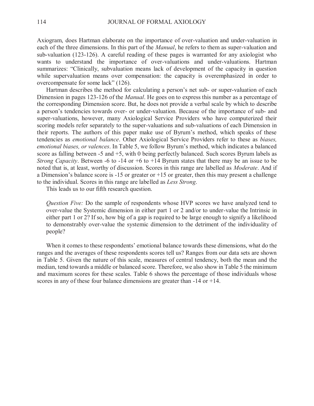Axiogram, does Hartman elaborate on the importance of over-valuation and under-valuation in each of the three dimensions. In this part of the *Manual*, he refers to them as super-valuation and sub-valuation (123-126). A careful reading of these pages is warranted for any axiologist who wants to understand the importance of over-valuations and under-valuations. Hartman summarizes: "Clinically, subvaluation means lack of development of the capacity in question while supervaluation means over compensation: the capacity is overemphasized in order to overcompensate for some lack" (126).

 Hartman describes the method for calculating a person's net sub- or super-valuation of each Dimension in pages 123-126 of the *Manual*. He goes on to express this number as a percentage of the corresponding Dimension score. But, he does not provide a verbal scale by which to describe a person's tendencies towards over- or under-valuation. Because of the importance of sub- and super-valuations, however, many Axiological Service Providers who have computerized their scoring models refer separately to the super-valuations and sub-valuations of each Dimension in their reports. The authors of this paper make use of Byrum's method, which speaks of these tendencies as *emotional balance*. Other Axiological Service Providers refer to these as *biases, emotional biases, or valences*. In Table 5, we follow Byrum's method, which indicates a balanced score as falling between -5 and +5, with 0 being perfectly balanced. Such scores Byrum labels as *Strong Capacity*. Between -6 to -14 or +6 to +14 Byrum states that there may be an issue to be noted that is, at least, worthy of discussion. Scores in this range are labelled as *Moderate*. And if a Dimension's balance score is -15 or greater or +15 or greater, then this may present a challenge to the individual. Scores in this range are labelled as *Less Strong*.

This leads us to our fifth research question.

*Question Five:* Do the sample of respondents whose HVP scores we have analyzed tend to over-value the Systemic dimension in either part 1 or 2 and/or to under-value the Intrinsic in either part 1 or 2? If so, how big of a gap is required to be large enough to signify a likelihood to demonstrably over-value the systemic dimension to the detriment of the individuality of people?

When it comes to these respondents' emotional balance towards these dimensions, what do the ranges and the averages of these respondents scores tell us? Ranges from our data sets are shown in Table 5. Given the nature of this scale, measures of central tendency, both the mean and the median, tend towards a middle or balanced score. Therefore, we also show in Table 5 the minimum and maximum scores for these scales. Table 6 shows the percentage of those individuals whose scores in any of these four balance dimensions are greater than -14 or +14.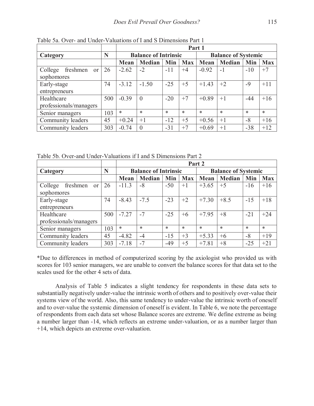|                                      |     | Part 1                      |               |        |            |         |                            |       |            |
|--------------------------------------|-----|-----------------------------|---------------|--------|------------|---------|----------------------------|-------|------------|
| Category                             | N   | <b>Balance of Intrinsic</b> |               |        |            |         | <b>Balance of Systemic</b> |       |            |
|                                      |     | <b>Mean</b>                 | <b>Median</b> | Min    | <b>Max</b> | Mean    | <b>Median</b>              | Min   | <b>Max</b> |
| College<br>freshmen<br><sub>or</sub> | 26  | $-2.62$                     | $-2$          | $-11$  | $+4$       | $-0.92$ | $-1$                       | $-10$ | $+7$       |
| sophomores                           |     |                             |               |        |            |         |                            |       |            |
| Early-stage                          | 74  | $-3.12$                     | $-1.50$       | $-25$  | $+5$       | $+1.43$ | $+2$                       | $-9$  | $+11$      |
| entrepreneurs                        |     |                             |               |        |            |         |                            |       |            |
| Healthcare                           | 500 | $-0.39$                     | $\theta$      | $-20$  | $+7$       | $+0.89$ | $+1$                       | $-44$ | $+16$      |
| professionals/managers               |     |                             |               |        |            |         |                            |       |            |
| Senior managers                      | 103 | $\ast$                      | *             | $\ast$ | $\ast$     | $\ast$  | $\ast$                     | *     | $\ast$     |
| Community leaders                    | 45  | $+0.24$                     | $+1$          | $-12$  | $+5$       | $+0.56$ | $+1$                       | $-8$  | $+16$      |
| Community leaders                    | 303 | $-0.74$                     | $\theta$      | $-31$  | $+7$       | $+0.69$ | $+1$                       | $-38$ | $+12$      |

Table 5a. Over- and Under-Valuations of I and S Dimensions Part 1

Table 5b. Over-and Under-Valuations if I and S Dimensions Part 2

|                           |     |                             | Part 2        |        |            |                            |               |        |            |  |
|---------------------------|-----|-----------------------------|---------------|--------|------------|----------------------------|---------------|--------|------------|--|
| Category                  | N   | <b>Balance of Intrinsic</b> |               |        |            | <b>Balance of Systemic</b> |               |        |            |  |
|                           |     | Mean                        | <b>Median</b> | Min    | <b>Max</b> | Mean                       | <b>Median</b> | Min    | <b>Max</b> |  |
| College<br>freshmen<br>or | 26  | $-11.3$                     | $-8$          | $-50$  | $+1$       | $+3.65$                    | $+5$          | $-16$  | $+16$      |  |
| sophomores                |     |                             |               |        |            |                            |               |        |            |  |
| Early-stage               | 74  | $-8.43$                     | $-7.5$        | $-23$  | $+2$       | $+7.30$                    | $+8.5$        | $-15$  | $+18$      |  |
| entrepreneurs             |     |                             |               |        |            |                            |               |        |            |  |
| Healthcare                | 500 | $-7.27$                     | $-7$          | $-25$  | $+6$       | $+7.95$                    | $+8$          | $-21$  | $+24$      |  |
| professionals/managers    |     |                             |               |        |            |                            |               |        |            |  |
| Senior managers           | 103 | $\ast$                      | $\ast$        | $\ast$ | $\ast$     | $\ast$                     | $\ast$        | $\ast$ | $\ast$     |  |
| Community leaders         | 45  | $-4.82$                     | $-4$          | $-15$  | $+3$       | $+5.33$                    | $+6$          | $-8$   | $+19$      |  |
| Community leaders         | 303 | $-7.18$                     | $-7$          | $-49$  | $+5$       | $+7.81$                    | $+8$          | $-25$  | $+21$      |  |

\*Due to differences in method of computerized scoring by the axiologist who provided us with scores for 103 senior managers, we are unable to convert the balance scores for that data set to the scales used for the other 4 sets of data.

 Analysis of Table 5 indicates a slight tendency for respondents in these data sets to substantially negatively under-value the intrinsic worth of others and to positively over-value their systems view of the world. Also, this same tendency to under-value the intrinsic worth of oneself and to over-value the systemic dimension of oneself is evident. In Table 6, we note the percentage of respondents from each data set whose Balance scores are extreme. We define extreme as being a number larger than -14, which reflects an extreme under-valuation, or as a number larger than +14, which depicts an extreme over-valuation.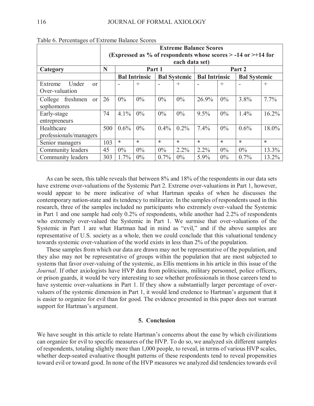|                                      | <b>Extreme Balance Scores</b><br>(Expressed as % of respondents whose scores $>$ -14 or $>$ +14 for |         |                      |         |                     |                      |        |                     |         |
|--------------------------------------|-----------------------------------------------------------------------------------------------------|---------|----------------------|---------|---------------------|----------------------|--------|---------------------|---------|
|                                      |                                                                                                     |         |                      |         | each data set)      |                      |        |                     |         |
| Category                             | N                                                                                                   |         | Part 1               |         |                     |                      |        | Part 2              |         |
|                                      |                                                                                                     |         | <b>Bal Intrinsic</b> |         | <b>Bal Systemic</b> | <b>Bal Intrinsic</b> |        | <b>Bal Systemic</b> |         |
| Under<br>Extreme<br>$\alpha$         |                                                                                                     |         | $^{+}$               |         | $^{+}$              |                      | $^{+}$ |                     | $^{+}$  |
| Over-valuation                       |                                                                                                     |         |                      |         |                     |                      |        |                     |         |
| College<br>freshmen<br><sub>or</sub> | 26                                                                                                  | $0\%$   | $0\%$                | $0\%$   | $0\%$               | 26.9%                | $0\%$  | 3.8%                | $7.7\%$ |
| sophomores                           |                                                                                                     |         |                      |         |                     |                      |        |                     |         |
| Early-stage                          | 74                                                                                                  | 4.1%    | $0\%$                | $0\%$   | $0\%$               | 9.5%                 | $0\%$  | 1.4%                | 16.2%   |
| entrepreneurs                        |                                                                                                     |         |                      |         |                     |                      |        |                     |         |
| Healthcare                           | 500                                                                                                 | $0.6\%$ | $0\%$                | $0.4\%$ | $0.2\%$             | 7.4%                 | $0\%$  | $0.6\%$             | 18.0%   |
| professionals/managers               |                                                                                                     |         |                      |         |                     |                      |        |                     |         |
| Senior managers                      | 103                                                                                                 | $\ast$  | $\ast$               | *       | $\ast$              | $\ast$               | $\ast$ | $\ast$              | $\ast$  |
| Community leaders                    | 45                                                                                                  | $0\%$   | $0\%$                | $0\%$   | 2.2%                | $2.2\%$              | $0\%$  | $0\%$               | 13.3%   |
| Community leaders                    | 303                                                                                                 | $1.7\%$ | $0\%$                | 0.7%    | $0\%$               | 5.9%                 | $0\%$  | $0.7\%$             | 13.2%   |

Table 6. Percentages of Extreme Balance Scores

 As can be seen, this table reveals that between 8% and 18% of the respondents in our data sets have extreme over-valuations of the Systemic Part 2. Extreme over-valuations in Part 1, however, would appear to be more indicative of what Hartman speaks of when he discusses the contemporary nation-state and its tendency to militarize. In the samples of respondents used in this research, three of the samples included no participants who extremely over-valued the Systemic in Part 1 and one sample had only 0.2% of respondents, while another had 2.2% of respondents who extremely over-valued the Systemic in Part 1. We surmise that over-valuations of the Systemic in Part 1 are what Hartman had in mind as "evil," and if the above samples are representative of U.S. society as a whole, then we could conclude that this valuational tendency towards systemic over-valuation of the world exists in less than 2% of the population.

 These samples from which our data are drawn may not be representative of the population, and they also may not be representative of groups within the population that are most subjected to systems that favor over-valuing of the systemic, as Ellis mentions in his article in this issue of the *Journal*. If other axiologists have HVP data from politicians, military personnel, police officers, or prison guards, it would be very interesting to see whether professionals in those careers tend to have systemic over-valuations in Part 1. If they show a substantially larger percentage of overvaluers of the systemic dimension in Part 1, it would lend credence to Hartman's argument that it is easier to organize for evil than for good. The evidence presented in this paper does not warrant support for Hartman's argument.

#### **5. Conclusion**

We have sought in this article to relate Hartman's concerns about the ease by which civilizations can organize for evil to specific measures of the HVP. To do so, we analyzed six different samples of respondents, totaling slightly more than 1,000 people, to reveal, in terms of various HVP scales, whether deep-seated evaluative thought patterns of these respondents tend to reveal propensities toward evil or toward good. In none of the HVP measures we analyzed did tendencies towards evil